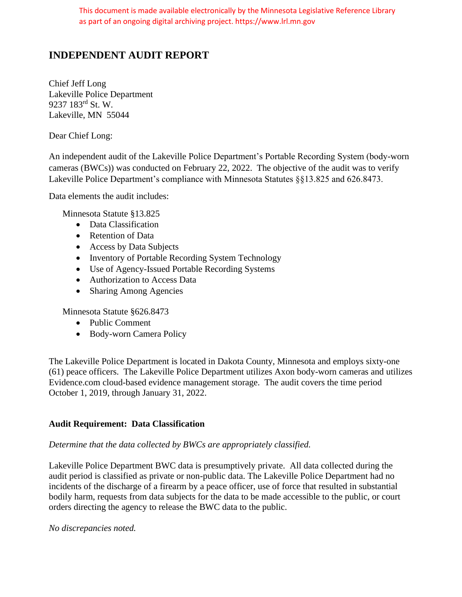This document is made available electronically by the Minnesota Legislative Reference Library as part of an ongoing digital archiving project. https://www.lrl.mn.gov

# **INDEPENDENT AUDIT REPORT**

Chief Jeff Long Lakeville Police Department 9237 183rd St. W. Lakeville, MN 55044

Dear Chief Long:

An independent audit of the Lakeville Police Department's Portable Recording System (body-worn cameras (BWCs)) was conducted on February 22, 2022. The objective of the audit was to verify Lakeville Police Department's compliance with Minnesota Statutes §§13.825 and 626.8473.

Data elements the audit includes:

Minnesota Statute §13.825

- Data Classification
- Retention of Data
- Access by Data Subjects
- Inventory of Portable Recording System Technology
- Use of Agency-Issued Portable Recording Systems
- Authorization to Access Data
- Sharing Among Agencies

Minnesota Statute §626.8473

- Public Comment
- Body-worn Camera Policy

The Lakeville Police Department is located in Dakota County, Minnesota and employs sixty-one (61) peace officers. The Lakeville Police Department utilizes Axon body-worn cameras and utilizes Evidence.com cloud-based evidence management storage. The audit covers the time period October 1, 2019, through January 31, 2022.

# **Audit Requirement: Data Classification**

## *Determine that the data collected by BWCs are appropriately classified.*

Lakeville Police Department BWC data is presumptively private. All data collected during the audit period is classified as private or non-public data. The Lakeville Police Department had no incidents of the discharge of a firearm by a peace officer, use of force that resulted in substantial bodily harm, requests from data subjects for the data to be made accessible to the public, or court orders directing the agency to release the BWC data to the public.

*No discrepancies noted.*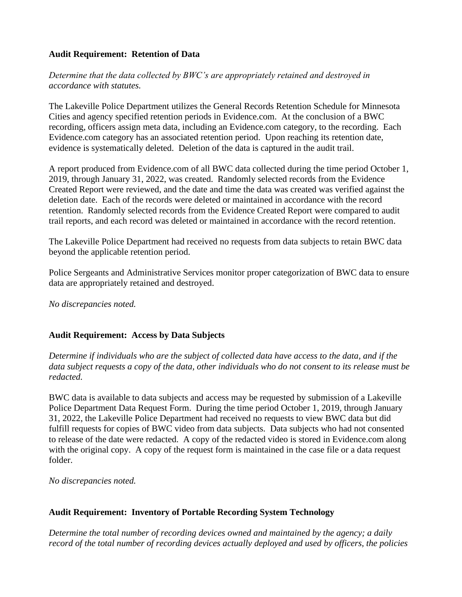# **Audit Requirement: Retention of Data**

*Determine that the data collected by BWC's are appropriately retained and destroyed in accordance with statutes.*

The Lakeville Police Department utilizes the General Records Retention Schedule for Minnesota Cities and agency specified retention periods in Evidence.com. At the conclusion of a BWC recording, officers assign meta data, including an Evidence.com category, to the recording. Each Evidence.com category has an associated retention period. Upon reaching its retention date, evidence is systematically deleted. Deletion of the data is captured in the audit trail.

A report produced from Evidence.com of all BWC data collected during the time period October 1, 2019, through January 31, 2022, was created. Randomly selected records from the Evidence Created Report were reviewed, and the date and time the data was created was verified against the deletion date. Each of the records were deleted or maintained in accordance with the record retention. Randomly selected records from the Evidence Created Report were compared to audit trail reports, and each record was deleted or maintained in accordance with the record retention.

The Lakeville Police Department had received no requests from data subjects to retain BWC data beyond the applicable retention period.

Police Sergeants and Administrative Services monitor proper categorization of BWC data to ensure data are appropriately retained and destroyed.

*No discrepancies noted.*

## **Audit Requirement: Access by Data Subjects**

*Determine if individuals who are the subject of collected data have access to the data, and if the data subject requests a copy of the data, other individuals who do not consent to its release must be redacted.*

BWC data is available to data subjects and access may be requested by submission of a Lakeville Police Department Data Request Form. During the time period October 1, 2019, through January 31, 2022, the Lakeville Police Department had received no requests to view BWC data but did fulfill requests for copies of BWC video from data subjects. Data subjects who had not consented to release of the date were redacted. A copy of the redacted video is stored in Evidence.com along with the original copy. A copy of the request form is maintained in the case file or a data request folder.

*No discrepancies noted.*

# **Audit Requirement: Inventory of Portable Recording System Technology**

*Determine the total number of recording devices owned and maintained by the agency; a daily record of the total number of recording devices actually deployed and used by officers, the policies*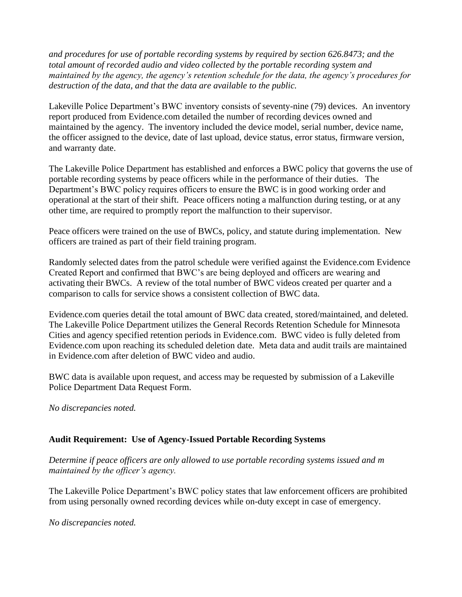*and procedures for use of portable recording systems by required by section 626.8473; and the total amount of recorded audio and video collected by the portable recording system and maintained by the agency, the agency's retention schedule for the data, the agency's procedures for destruction of the data, and that the data are available to the public.*

Lakeville Police Department's BWC inventory consists of seventy-nine (79) devices. An inventory report produced from Evidence.com detailed the number of recording devices owned and maintained by the agency. The inventory included the device model, serial number, device name, the officer assigned to the device, date of last upload, device status, error status, firmware version, and warranty date.

The Lakeville Police Department has established and enforces a BWC policy that governs the use of portable recording systems by peace officers while in the performance of their duties. The Department's BWC policy requires officers to ensure the BWC is in good working order and operational at the start of their shift. Peace officers noting a malfunction during testing, or at any other time, are required to promptly report the malfunction to their supervisor.

Peace officers were trained on the use of BWCs, policy, and statute during implementation. New officers are trained as part of their field training program.

Randomly selected dates from the patrol schedule were verified against the Evidence.com Evidence Created Report and confirmed that BWC's are being deployed and officers are wearing and activating their BWCs. A review of the total number of BWC videos created per quarter and a comparison to calls for service shows a consistent collection of BWC data.

Evidence.com queries detail the total amount of BWC data created, stored/maintained, and deleted. The Lakeville Police Department utilizes the General Records Retention Schedule for Minnesota Cities and agency specified retention periods in Evidence.com. BWC video is fully deleted from Evidence.com upon reaching its scheduled deletion date. Meta data and audit trails are maintained in Evidence.com after deletion of BWC video and audio.

BWC data is available upon request, and access may be requested by submission of a Lakeville Police Department Data Request Form.

*No discrepancies noted.*

# **Audit Requirement: Use of Agency-Issued Portable Recording Systems**

*Determine if peace officers are only allowed to use portable recording systems issued and m maintained by the officer's agency.*

The Lakeville Police Department's BWC policy states that law enforcement officers are prohibited from using personally owned recording devices while on-duty except in case of emergency.

*No discrepancies noted.*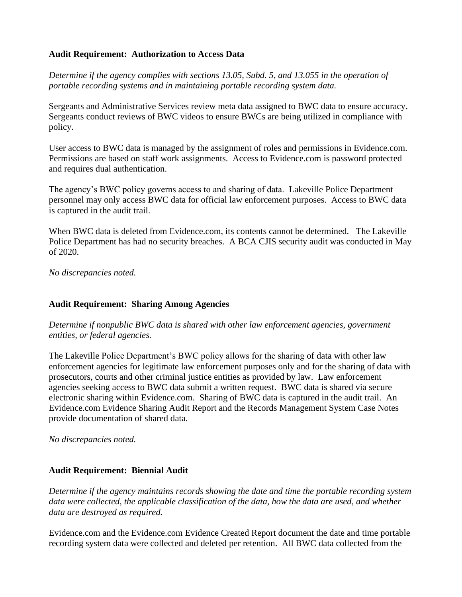## **Audit Requirement: Authorization to Access Data**

*Determine if the agency complies with sections 13.05, Subd. 5, and 13.055 in the operation of portable recording systems and in maintaining portable recording system data.*

Sergeants and Administrative Services review meta data assigned to BWC data to ensure accuracy. Sergeants conduct reviews of BWC videos to ensure BWCs are being utilized in compliance with policy.

User access to BWC data is managed by the assignment of roles and permissions in Evidence.com. Permissions are based on staff work assignments. Access to Evidence.com is password protected and requires dual authentication.

The agency's BWC policy governs access to and sharing of data. Lakeville Police Department personnel may only access BWC data for official law enforcement purposes. Access to BWC data is captured in the audit trail.

When BWC data is deleted from Evidence.com, its contents cannot be determined. The Lakeville Police Department has had no security breaches. A BCA CJIS security audit was conducted in May of 2020.

*No discrepancies noted.*

## **Audit Requirement: Sharing Among Agencies**

*Determine if nonpublic BWC data is shared with other law enforcement agencies, government entities, or federal agencies.*

The Lakeville Police Department's BWC policy allows for the sharing of data with other law enforcement agencies for legitimate law enforcement purposes only and for the sharing of data with prosecutors, courts and other criminal justice entities as provided by law. Law enforcement agencies seeking access to BWC data submit a written request. BWC data is shared via secure electronic sharing within Evidence.com. Sharing of BWC data is captured in the audit trail. An Evidence.com Evidence Sharing Audit Report and the Records Management System Case Notes provide documentation of shared data.

*No discrepancies noted.*

## **Audit Requirement: Biennial Audit**

*Determine if the agency maintains records showing the date and time the portable recording system data were collected, the applicable classification of the data, how the data are used, and whether data are destroyed as required.* 

Evidence.com and the Evidence.com Evidence Created Report document the date and time portable recording system data were collected and deleted per retention. All BWC data collected from the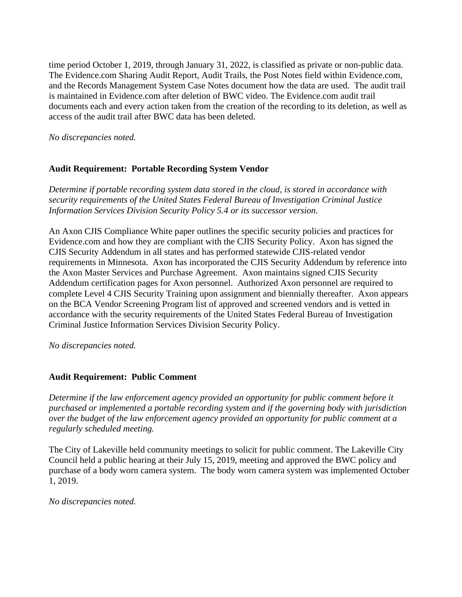time period October 1, 2019, through January 31, 2022, is classified as private or non-public data. The Evidence.com Sharing Audit Report, Audit Trails, the Post Notes field within Evidence.com, and the Records Management System Case Notes document how the data are used. The audit trail is maintained in Evidence.com after deletion of BWC video. The Evidence.com audit trail documents each and every action taken from the creation of the recording to its deletion, as well as access of the audit trail after BWC data has been deleted.

*No discrepancies noted.*

# **Audit Requirement: Portable Recording System Vendor**

*Determine if portable recording system data stored in the cloud, is stored in accordance with security requirements of the United States Federal Bureau of Investigation Criminal Justice Information Services Division Security Policy 5.4 or its successor version.*

An Axon CJIS Compliance White paper outlines the specific security policies and practices for Evidence.com and how they are compliant with the CJIS Security Policy. Axon has signed the CJIS Security Addendum in all states and has performed statewide CJIS-related vendor requirements in Minnesota. Axon has incorporated the CJIS Security Addendum by reference into the Axon Master Services and Purchase Agreement. Axon maintains signed CJIS Security Addendum certification pages for Axon personnel. Authorized Axon personnel are required to complete Level 4 CJIS Security Training upon assignment and biennially thereafter. Axon appears on the BCA Vendor Screening Program list of approved and screened vendors and is vetted in accordance with the security requirements of the United States Federal Bureau of Investigation Criminal Justice Information Services Division Security Policy.

*No discrepancies noted.*

# **Audit Requirement: Public Comment**

*Determine if the law enforcement agency provided an opportunity for public comment before it purchased or implemented a portable recording system and if the governing body with jurisdiction over the budget of the law enforcement agency provided an opportunity for public comment at a regularly scheduled meeting.* 

The City of Lakeville held community meetings to solicit for public comment. The Lakeville City Council held a public hearing at their July 15, 2019, meeting and approved the BWC policy and purchase of a body worn camera system. The body worn camera system was implemented October 1, 2019.

*No discrepancies noted.*